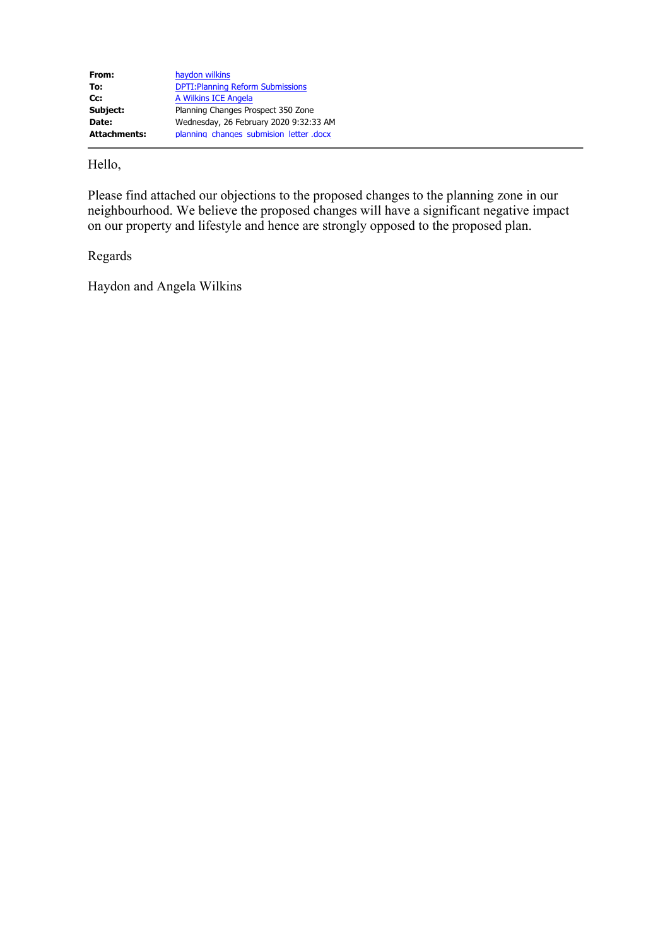| From:               | haydon wilkins                           |
|---------------------|------------------------------------------|
| To:                 | <b>DPTI: Planning Reform Submissions</b> |
| Cc:                 | A Wilkins ICE Angela                     |
| Subject:            | Planning Changes Prospect 350 Zone       |
| Date:               | Wednesday, 26 February 2020 9:32:33 AM   |
| <b>Attachments:</b> | planning changes submision letter .docx  |

Hello,

Please find attached our objections to the proposed changes to the planning zone in our neighbourhood. We believe the proposed changes will have a significant negative impact on our property and lifestyle and hence are strongly opposed to the proposed plan.

Regards

Haydon and Angela Wilkins